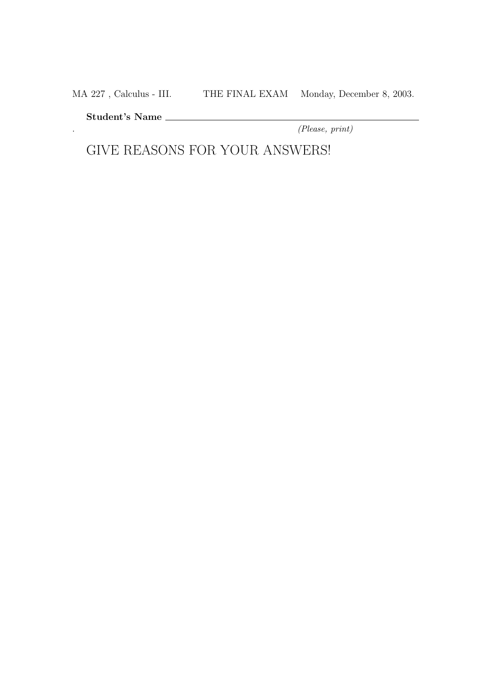MA 227, Calculus - III. THE FINAL EXAM Monday, December 8, 2003.

Student's Name

. (Please, print)

GIVE REASONS FOR YOUR ANSWERS!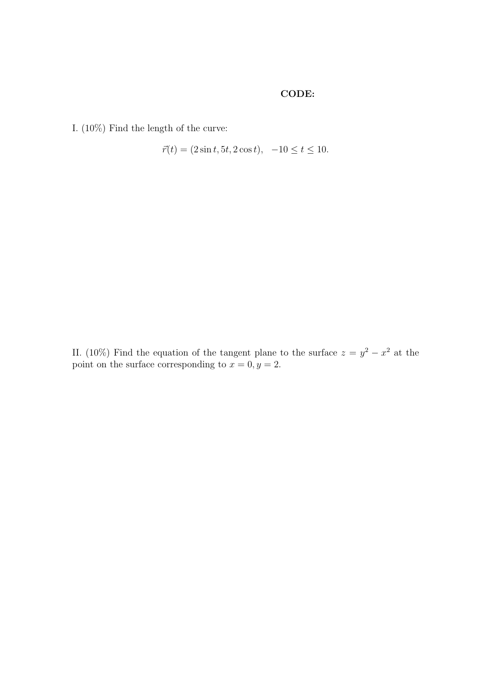## CODE:

I. (10%) Find the length of the curve:

$$
\vec{r}(t) = (2\sin t, 5t, 2\cos t), -10 \le t \le 10.
$$

II. (10%) Find the equation of the tangent plane to the surface  $z = y^2 - x^2$  at the point on the surface corresponding to  $x = 0, y = 2$ .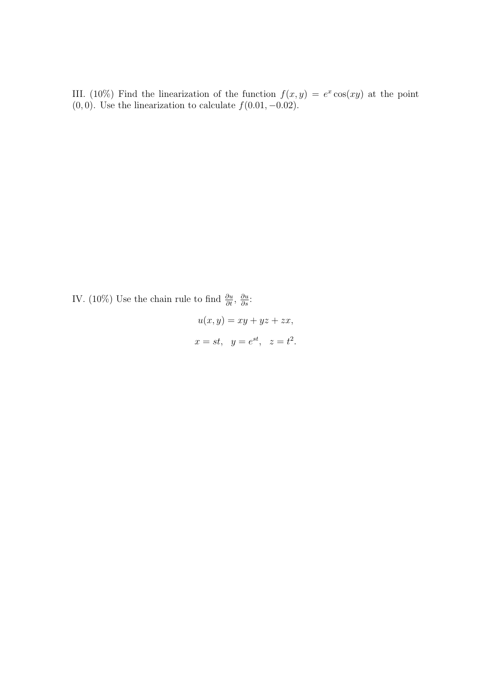III. (10%) Find the linearization of the function  $f(x, y) = e^x \cos(xy)$  at the point  $(0, 0)$ . Use the linearization to calculate  $f(0.01, -0.02)$ .

IV. (10%) Use the chain rule to find  $\frac{\partial u}{\partial t}$ ,  $\frac{\partial u}{\partial s}$ :

$$
u(x, y) = xy + yz + zx,
$$
  

$$
x = st, y = e^{st}, z = t2.
$$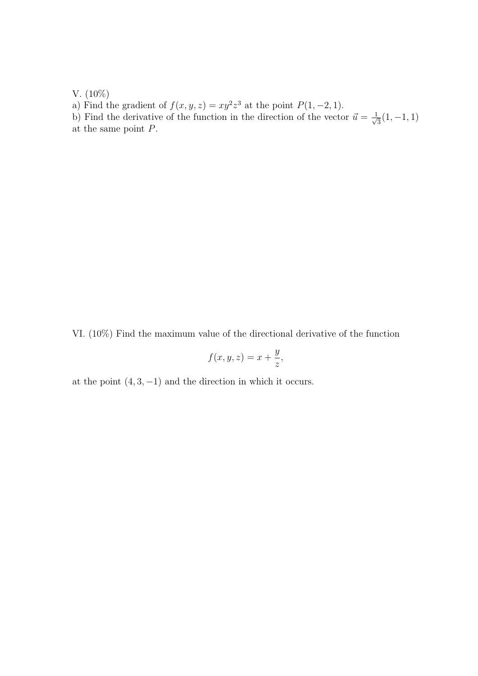V. (10%)

a) Find the gradient of  $f(x, y, z) = xy^2z^3$  at the point  $P(1, -2, 1)$ .

b) Find the derivative of the function in the direction of the vector  $\vec{u} = \frac{1}{\sqrt{2}}$  $\frac{1}{3}(1,-1,1)$ at the same point P.

VI. (10%) Find the maximum value of the directional derivative of the function

$$
f(x, y, z) = x + \frac{y}{z},
$$

at the point  $(4, 3, -1)$  and the direction in which it occurs.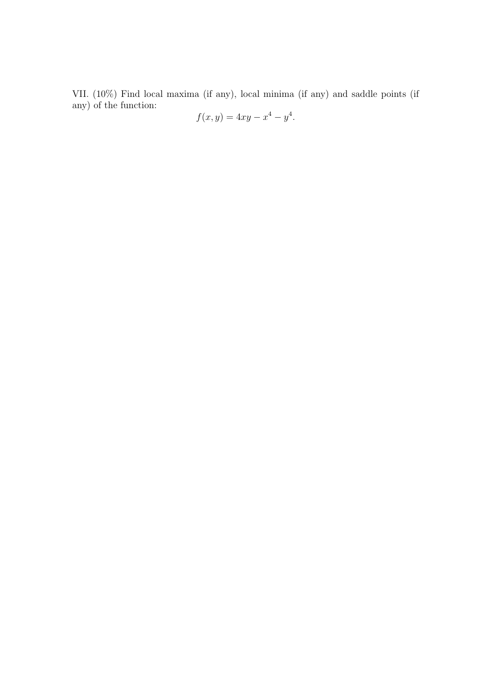VII. (10%) Find local maxima (if any), local minima (if any) and saddle points (if any) of the function:

$$
f(x,y) = 4xy - x^4 - y^4.
$$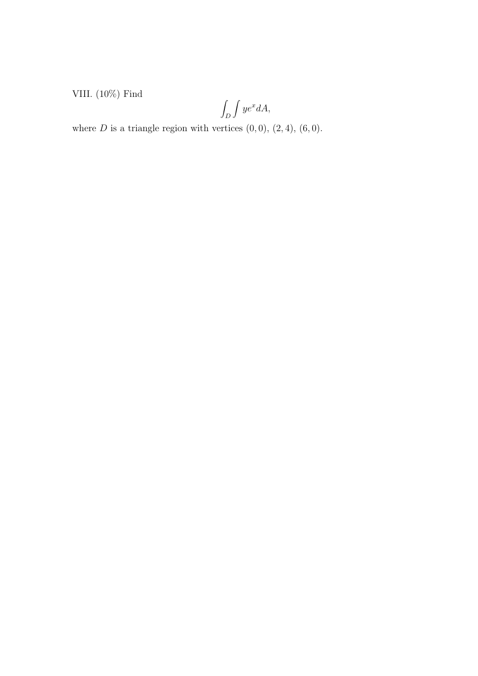VIII. (10%) Find

$$
\int_D \int ye^x dA,
$$

where  $D$  is a triangle region with vertices  $(0,0)$ ,  $(2,4)$ ,  $(6,0)$ .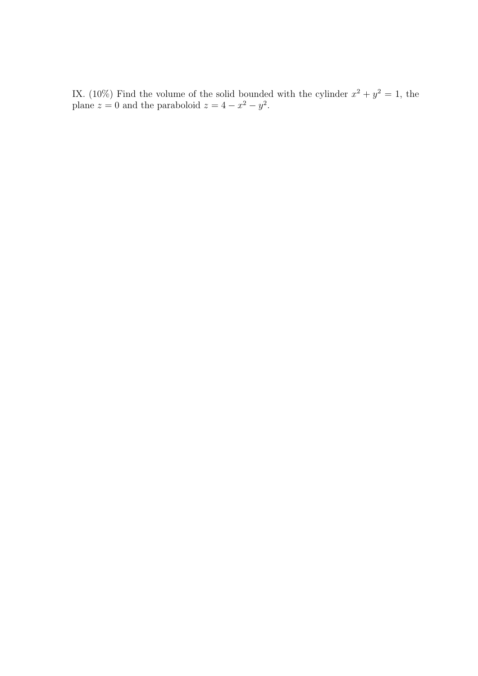IX. (10%) Find the volume of the solid bounded with the cylinder  $x^2 + y^2 = 1$ , the plane  $z = 0$  and the paraboloid  $z = 4 - x^2 - y^2$ .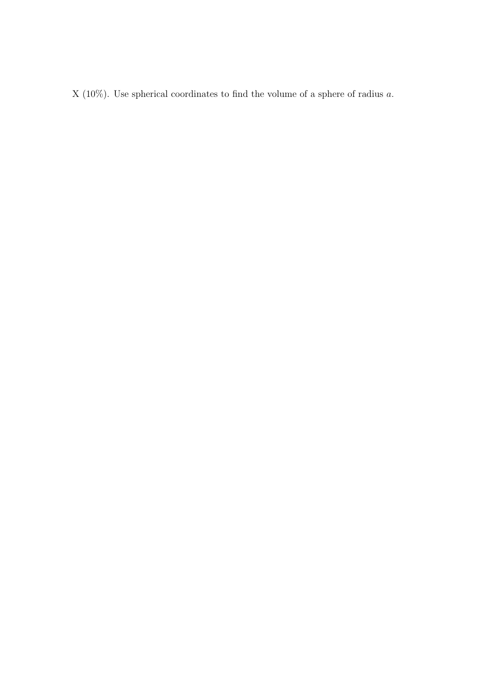X (10%). Use spherical coordinates to find the volume of a sphere of radius  $a$ .